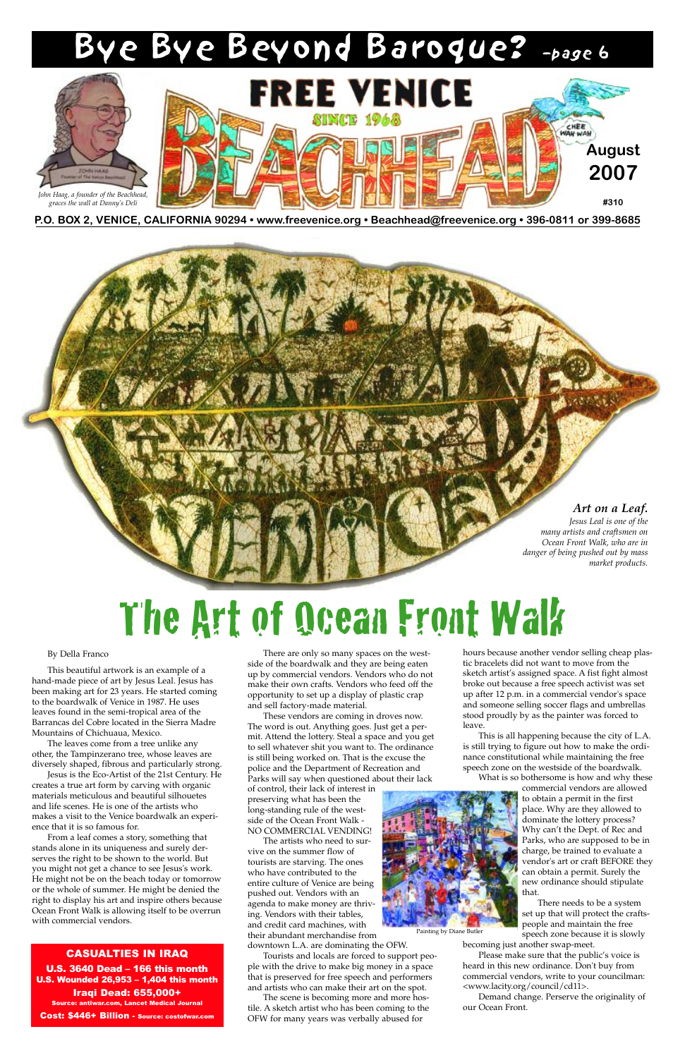**P.O. BOX 2, VENICE, CALIFORNIA 90294 • www.freevenice.org • Beachhead@freevenice.org • 396-0811 or 399-8685** 



CASUALTIES IN IRAQ U.S. 3640 Dead – 166 this month U.S. Wounded 26,953 – 1,404 this month Iraqi Dead: 655,000+ Source: antiwar.com, Lancet Medical Journal Cost: \$446+ Billion - Source: costofwar.com

## The Art of Ocean Front Walk

By Della Franco

This beautiful artwork is an example of a hand-made piece of art by Jesus Leal. Jesus has been making art for 23 years. He started coming to the boardwalk of Venice in 1987. He uses leaves found in the semi-tropical area of the Barrancas del Cobre located in the Sierra Madre Mountains of Chichuaua, Mexico.

The leaves come from a tree unlike any other, the Tampinzerano tree, whose leaves are diversely shaped, fibrous and particularly strong.

Jesus is the Eco-Artist of the 21st Century. He

creates a true art form by carving with organic materials meticulous and beautiful silhouetes and life scenes. He is one of the artists who makes a visit to the Venice boardwalk an experience that it is so famous for.

From a leaf comes a story, something that stands alone in its uniqueness and surely derserves the right to be shown to the world. But you might not get a chance to see Jesus's work. He might not be on the beach today or tomorrow or the whole of summer. He might be denied the right to display his art and inspire others because Ocean Front Walk is allowing itself to be overrun with commercial vendors.

There are only so many spaces on the westside of the boardwalk and they are being eaten up by commercial vendors. Vendors who do not make their own crafts. Vendors who feed off the opportunity to set up a display of plastic crap and sell factory-made material.

These vendors are coming in droves now. The word is out. Anything goes. Just get a permit. Attend the lottery. Steal a space and you get to sell whatever shit you want to. The ordinance is still being worked on. That is the excuse the police and the Department of Recreation and Parks will say when questioned about their lack of control, their lack of interest in preserving what has been the long-standing rule of the westside of the Ocean Front Walk - NO COMMERCIAL VENDING!

The artists who need to survive on the summer flow of tourists are starving. The ones who have contributed to the entire culture of Venice are being pushed out. Vendors with an agenda to make money are thriving. Vendors with their tables, and credit card machines, with their abundant merchandise from downtown L.A. are dominating the OFW.

Tourists and locals are forced to support people with the drive to make big money in a space that is preserved for free speech and performers and artists who can make their art on the spot.

The scene is becoming more and more hostile. A sketch artist who has been coming to the OFW for many years was verbally abused for

hours because another vendor selling cheap plastic bracelets did not want to move from the sketch artist's assigned space. A fist fight almost broke out because a free speech activist was set up after 12 p.m. in a commercial vendor's space and someone selling soccer flags and umbrellas stood proudly by as the painter was forced to leave.

This is all happening because the city of L.A. is still trying to figure out how to make the ordinance constitutional while maintaining the free speech zone on the westside of the boardwalk.

What is so bothersome is how and why these

commercial vendors are allowed to obtain a permit in the first place. Why are they allowed to dominate the lottery process? Why can't the Dept. of Rec and Parks, who are supposed to be in charge, be trained to evaluate a vendor's art or craft BEFORE they can obtain a permit. Surely the new ordinance should stipulate that.

There needs to be a system set up that will protect the craftspeople and maintain the free speech zone because it is slowly

becoming just another swap-meet.

Please make sure that the public's voice is heard in this new ordinance. Don't buy from commercial vendors, write to your councilman: <www.lacity.org/council/cd11>.

Demand change. Perserve the originality of our Ocean Front.

#### *Art on a Leaf.*

*Jesus Leal is one of the many artists and craftsmen on Ocean Front Walk, who are in danger of being pushed out by mass market products.*

## Bye Bye Beyond Baroque? –page 6



*John Haag, a founder of the Beachhead, graces the wall at Danny's Deli*

Painting by Diane Butler

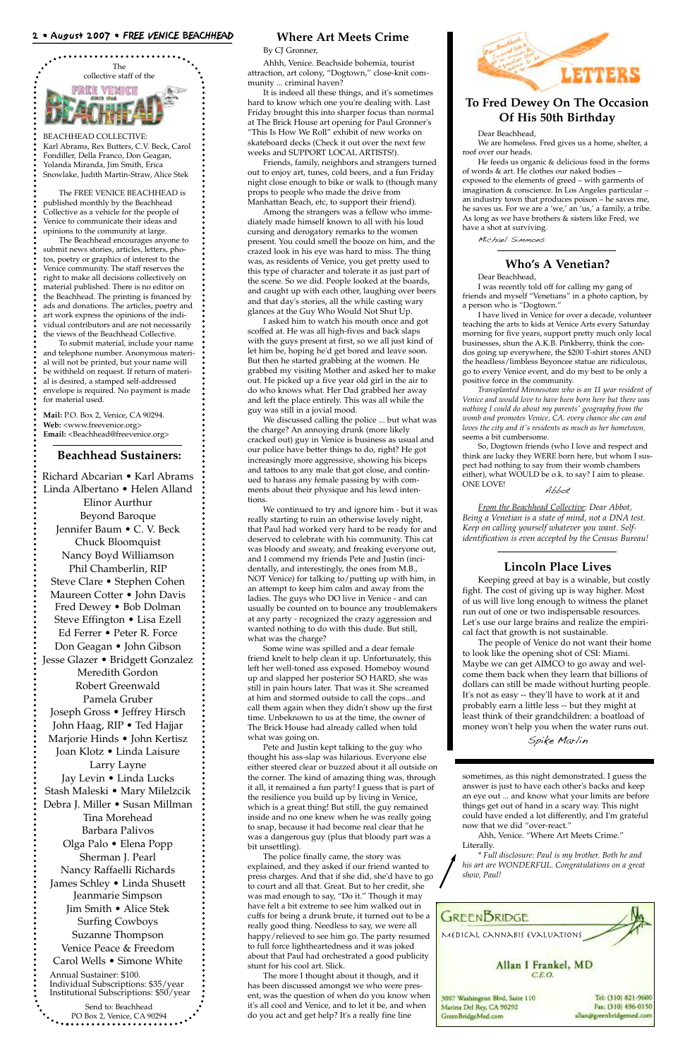

BEACHHEAD COLLECTIVE: Karl Abrams, Rex Butters, C.V. Beck, Carol Fondiller, Della Franco, Don Geagan, Yolanda Miranda, Jim Smith, Erica Snowlake, Judith Martin-Straw, Alice Stek

The FREE VENICE BEACHHEAD is published monthly by the Beachhead Collective as a vehicle for the people of Venice to communicate their ideas and opinions to the community at large.

**Mail:** P.O. Box 2, Venice, CA 90294. **Web:** <www.freevenice.org> Email: <Beachhead@freevenice.org>

The Beachhead encourages anyone to submit news stories, articles, letters, photos, poetry or graphics of interest to the Venice community. The staff reserves the right to make all decisions collectively on material published. There is no editor on the Beachhead. The printing is financed by ads and donations. The articles, poetry and art work express the opinions of the individual contributors and are not necessarily the views of the Beachhead Collective.

To submit material, include your name and telephone number. Anonymous material will not be printed, but your name will be withheld on request. If return of material is desired, a stamped self-addressed envelope is required. No payment is made for material used.

#### **Beachhead Sustainers:**

#### **To Fred Dewey On The Occasion Of His 50th Birthday**

Dear Beachhead,

We are homeless. Fred gives us a home, shelter, a roof over our heads.

He feeds us organic & delicious food in the forms of words & art. He clothes our naked bodies – exposed to the elements of greed – with garments of imagination & conscience. In Los Angeles particular – an industry town that produces poison – he saves me, he saves us. For we are a 'we,' an 'us,' a family, a tribe. As long as we have brothers & sisters like Fred, we have a shot at surviving.

Michael Simmons

answer is just to have each other's backs and keep an eye out ... and know what your limits are before things get out of hand in a scary way. This night could have ended a lot differently, and I'm grateful now that we did "over-react."

Ahh, Venice. "Where Art Meets Crime." Literally.

*\* Full disclosure: Paul is my brother. Both he and his art are WONDERFUL. Congratulations on a great show, Paul!*

#### 2 • August 2007 • FREE VENICE BEACHHEAD

Richard Abcarian • Karl Abrams Linda Albertano • Helen Alland Elinor Aurthur Beyond Baroque Jennifer Baum • C. V. Beck Chuck Bloomquist Nancy Boyd Williamson Phil Chamberlin, RIP Steve Clare • Stephen Cohen Maureen Cotter • John Davis Fred Dewey • Bob Dolman Steve Effington • Lisa Ezell Ed Ferrer • Peter R. Force Don Geagan • John Gibson Jesse Glazer • Bridgett Gonzalez Meredith Gordon Robert Greenwald Pamela Gruber Joseph Gross • Jeffrey Hirsch John Haag, RIP • Ted Hajjar Marjorie Hinds • John Kertisz Joan Klotz • Linda Laisure Larry Layne Jay Levin • Linda Lucks Stash Maleski • Mary Milelzcik Debra J. Miller • Susan Millman Tina Morehead Barbara Palivos Olga Palo • Elena Popp Sherman J. Pearl Nancy Raffaelli Richards James Schley • Linda Shusett Jeanmarie Simpson Jim Smith • Alice Stek Surfing Cowboys Suzanne Thompson Venice Peace & Freedom Carol Wells • Simone White Annual Sustainer: \$100. Individual Subscriptions: \$35/year Institutional Subscriptions: \$50/year Send to: Beachhead PO Box 2, Venice, CA 90294

#### **Where Art Meets Crime**

By CJ Gronner,

Ahhh, Venice. Beachside bohemia, tourist attraction, art colony, "Dogtown," close-knit community ... criminal haven?

It is indeed all these things, and it's sometimes hard to know which one you're dealing with. Last Friday brought this into sharper focus than normal at The Brick House art opening for Paul Gronner's "This Is How We Roll" exhibit of new works on skateboard decks (Check it out over the next few weeks and SUPPORT LOCAL ARTISTS!).

Friends, family, neighbors and strangers turned out to enjoy art, tunes, cold beers, and a fun Friday night close enough to bike or walk to (though many props to people who made the drive from Manhattan Beach, etc, to support their friend).

Among the strangers was a fellow who immediately made himself known to all with his loud cursing and derogatory remarks to the women present. You could smell the booze on him, and the crazed look in his eye was hard to miss. The thing was, as residents of Venice, you get pretty used to this type of character and tolerate it as just part of the scene. So we did. People looked at the boards, and caught up with each other, laughing over beers and that day's stories, all the while casting wary glances at the Guy Who Would Not Shut Up.

I asked him to watch his mouth once and got scoffed at. He was all high-fives and back slaps with the guys present at first, so we all just kind of let him be, hoping he'd get bored and leave soon. But then he started grabbing at the women. He grabbed my visiting Mother and asked her to make out. He picked up a five year old girl in the air to do who knows what. Her Dad grabbed her away and left the place entirely. This was all while the guy was still in a jovial mood.

We discussed calling the police ... but what was the charge? An annoying drunk (more likely cracked out) guy in Venice is business as usual and our police have better things to do, right? He got increasingly more aggressive, showing his biceps and tattoos to any male that got close, and continued to harass any female passing by with comments about their physique and his lewd intentions.

We continued to try and ignore him - but it was really starting to ruin an otherwise lovely night, that Paul had worked very hard to be ready for and deserved to celebrate with his community. This cat was bloody and sweaty, and freaking everyone out, and I commend my friends Pete and Justin (incidentally, and interestingly, the ones from M.B., NOT Venice) for talking to/putting up with him, in an attempt to keep him calm and away from the ladies. The guys who DO live in Venice - and can usually be counted on to bounce any troublemakers at any party - recognized the crazy aggression and wanted nothing to do with this dude. But still, what was the charge?

Some wine was spilled and a dear female friend knelt to help clean it up. Unfortunately, this left her well-toned ass exposed. Homeboy wound up and slapped her posterior SO HARD, she was still in pain hours later. That was it. She screamed at him and stormed outside to call the cops...and call them again when they didn't show up the first time. Unbeknown to us at the time, the owner of The Brick House had already called when told what was going on.

Pete and Justin kept talking to the guy who thought his ass-slap was hilarious. Everyone else either steered clear or buzzed about it all outside on the corner. The kind of amazing thing was, through it all, it remained a fun party! I guess that is part of the resilience you build up by living in Venice, which is a great thing! But still, the guy remained inside and no one knew when he was really going to snap, because it had become real clear that he was a dangerous guy (plus that bloody part was a bit unsettling). The police finally came, the story was explained, and they asked if our friend wanted to press charges. And that if she did, she'd have to go to court and all that. Great. But to her credit, she was mad enough to say, "Do it." Though it may have felt a bit extreme to see him walked out in cuffs for being a drunk brute, it turned out to be a really good thing. Needless to say, we were all happy/relieved to see him go. The party resumed to full force lightheartedness and it was joked about that Paul had orchestrated a good publicity stunt for his cool art. Slick. The more I thought about it though, and it has been discussed amongst we who were present, was the question of when do you know when it's all cool and Venice, and to let it be, and when do you act and get help? It's a really fine line





#### **Who's A Venetian?**

Dear Beachhead,

I was recently told off for calling my gang of friends and myself "Venetians" in a photo caption, by a person who is "Dogtown."

I have lived in Venice for over a decade, volunteer teaching the arts to kids at Venice Arts every Saturday morning for five years, support pretty much only local businesses, shun the A.K.B. Pinkberry, think the condos going up everywhere, the \$200 T-shirt stores AND the headless/limbless Beyoncee statue are ridiculous, go to every Venice event, and do my best to be only a positive force in the community.

*Transplanted Minnesotan who is an 11 year resident of Venice and would love to have been born here but there was nothing I could do about my parents' geography from the womb and promotes Venice, CA. every chance she can and loves the city and it's residents as much as her hometown,* seems a bit cumbersome.

So, Dogtown friends (who I love and respect and think are lucky they WERE born here, but whom I suspect had nothing to say from their womb chambers either), what WOULD be o.k. to say? I aim to please. ONE LOVE! Abbot

*From the Beachhead Collective: Dear Abbot, Being a Venetian is a state of mind, not a DNA test. Keep on calling yourself whatever you want. Selfidentification is even accepted by the Census Bureau!*

#### **Lincoln Place Lives**

Keeping greed at bay is a winable, but costly fight. The cost of giving up is way higher. Most of us will live long enough to witness the planet run out of one or two indispensable resources. Let's use our large brains and realize the empirical fact that growth is not sustainable.

The people of Venice do not want their home to look like the opening shot of CSI: Miami. Maybe we can get AIMCO to go away and welcome them back when they learn that billions of dollars can still be made without hurting people. It's not as easy -- they'll have to work at it and probably earn a little less -- but they might at least think of their grandchildren: a boatload of money won't help you when the water runs out.

Spike Marlin

sometimes, as this night demonstrated. I guess the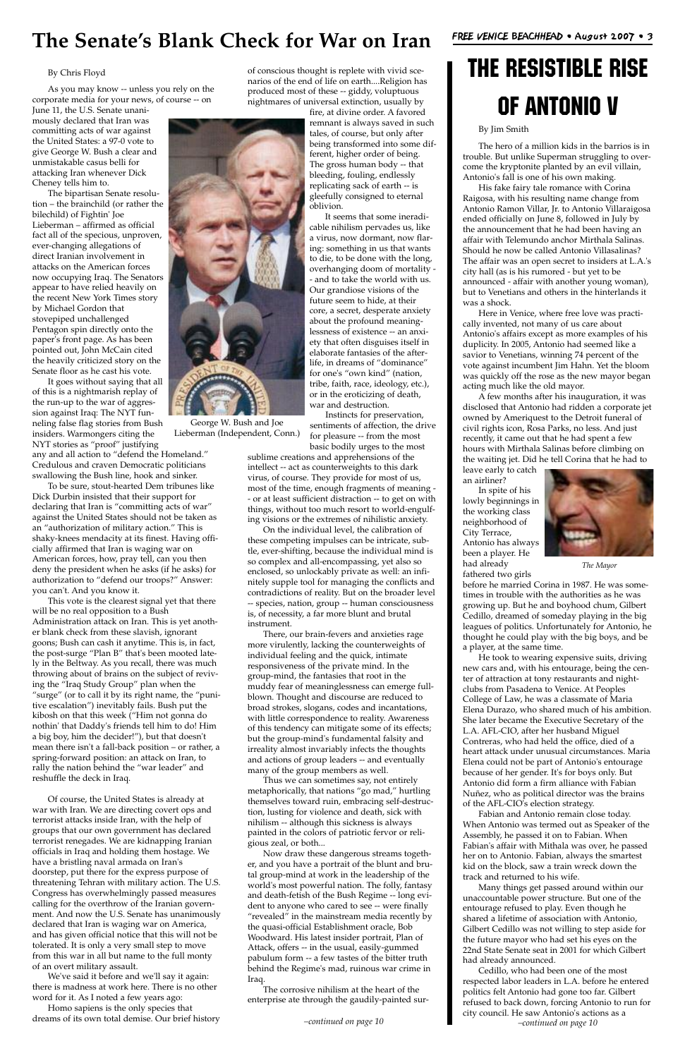#### By Chris Floyd

As you may know -- unless you rely on the corporate media for your news, of course -- on

June 11, the U.S. Senate unanimously declared that Iran was committing acts of war against the United States: a 97-0 vote to give George W. Bush a clear and unmistakable casus belli for attacking Iran whenever Dick Cheney tells him to.

The bipartisan Senate resolution – the brainchild (or rather the bilechild) of Fightin' Joe Lieberman – affirmed as official fact all of the specious, unproven, ever-changing allegations of direct Iranian involvement in attacks on the American forces now occupying Iraq. The Senators appear to have relied heavily on the recent New York Times story by Michael Gordon that stovepiped unchallenged Pentagon spin directly onto the paper's front page. As has been pointed out, John McCain cited the heavily criticized story on the Senate floor as he cast his vote.

It goes without saying that all of this is a nightmarish replay of the run-up to the war of aggression against Iraq: The NYT funneling false flag stories from Bush insiders. Warmongers citing the NYT stories as "proof" justifying

any and all action to "defend the Homeland." Credulous and craven Democratic politicians swallowing the Bush line, hook and sinker.

To be sure, stout-hearted Dem tribunes like Dick Durbin insisted that their support for declaring that Iran is "committing acts of war" against the United States should not be taken as an "authorization of military action." This is shaky-knees mendacity at its finest. Having officially affirmed that Iran is waging war on American forces, how, pray tell, can you then deny the president when he asks (if he asks) for authorization to "defend our troops?" Answer: you can't. And you know it.

This vote is the clearest signal yet that there will be no real opposition to a Bush Administration attack on Iran. This is yet another blank check from these slavish, ignorant goons; Bush can cash it anytime. This is, in fact, the post-surge "Plan B" that's been mooted lately in the Beltway. As you recall, there was much throwing about of brains on the subject of reviving the "Iraq Study Group" plan when the "surge" (or to call it by its right name, the "punitive escalation") inevitably fails. Bush put the kibosh on that this week ("Him not gonna do nothin' that Daddy's friends tell him to do! Him a big boy, him the decider!"), but that doesn't mean there isn't a fall-back position – or rather, a spring-forward position: an attack on Iran, to rally the nation behind the "war leader" and

reshuffle the deck in Iraq.

Of course, the United States is already at war with Iran. We are directing covert ops and terrorist attacks inside Iran, with the help of groups that our own government has declared terrorist renegades. We are kidnapping Iranian officials in Iraq and holding them hostage. We have a bristling naval armada on Iran's doorstep, put there for the express purpose of threatening Tehran with military action. The U.S. Congress has overwhelmingly passed measures calling for the overthrow of the Iranian government. And now the U.S. Senate has unanimously declared that Iran is waging war on America, and has given official notice that this will not be tolerated. It is only a very small step to move from this war in all but name to the full monty of an overt military assault.

We've said it before and we'll say it again: there is madness at work here. There is no other word for it. As I noted a few years ago:

Homo sapiens is the only species that dreams of its own total demise. Our brief history of conscious thought is replete with vivid scenarios of the end of life on earth....Religion has produced most of these -- giddy, voluptuous nightmares of universal extinction, usually by

fire, at divine order. A favored remnant is always saved in such tales, of course, but only after being transformed into some different, higher order of being. The gross human body -- that bleeding, fouling, endlessly replicating sack of earth -- is gleefully consigned to eternal oblivion.

It seems that some ineradicable nihilism pervades us, like a virus, now dormant, now flaring: something in us that wants to die, to be done with the long, overhanging doom of mortality - - and to take the world with us. Our grandiose visions of the future seem to hide, at their core, a secret, desperate anxiety about the profound meaninglessness of existence -- an anxiety that often disguises itself in elaborate fantasies of the afterlife, in dreams of "dominance" for one's "own kind" (nation, tribe, faith, race, ideology, etc.), or in the eroticizing of death, war and destruction.

Instincts for preservation, sentiments of affection, the drive for pleasure -- from the most basic bodily urges to the most

sublime creations and apprehensions of the intellect -- act as counterweights to this dark virus, of course. They provide for most of us, most of the time, enough fragments of meaning - - or at least sufficient distraction -- to get on with things, without too much resort to world-engulfing visions or the extremes of nihilistic anxiety.

On the individual level, the calibration of these competing impulses can be intricate, subtle, ever-shifting, because the individual mind is so complex and all-encompassing, yet also so enclosed, so unlockably private as well: an infinitely supple tool for managing the conflicts and contradictions of reality. But on the broader level -- species, nation, group -- human consciousness is, of necessity, a far more blunt and brutal instrument.

There, our brain-fevers and anxieties rage more virulently, lacking the counterweights of individual feeling and the quick, intimate responsiveness of the private mind. In the group-mind, the fantasies that root in the muddy fear of meaninglessness can emerge fullblown. Thought and discourse are reduced to broad strokes, slogans, codes and incantations, with little correspondence to reality. Awareness of this tendency can mitigate some of its effects; but the group-mind's fundamental falsity and irreality almost invariably infects the thoughts and actions of group leaders -- and eventually many of the group members as well. Thus we can sometimes say, not entirely metaphorically, that nations "go mad," hurtling themselves toward ruin, embracing self-destruction, lusting for violence and death, sick with nihilism -- although this sickness is always painted in the colors of patriotic fervor or religious zeal, or both... Now draw these dangerous streams together, and you have a portrait of the blunt and brutal group-mind at work in the leadership of the world's most powerful nation. The folly, fantasy and death-fetish of the Bush Regime -- long evident to anyone who cared to see -- were finally "revealed" in the mainstream media recently by the quasi-official Establishment oracle, Bob Woodward. His latest insider portrait, Plan of Attack, offers -- in the usual, easily-gummed pabulum form -- a few tastes of the bitter truth behind the Regime's mad, ruinous war crime in Iraq.

The corrosive nihilism at the heart of the enterprise ate through the gaudily-painted sur-

#### By Jim Smith

The hero of a million kids in the barrios is in trouble. But unlike Superman struggling to overcome the kryptonite planted by an evil villain, Antonio's fall is one of his own making.

His fake fairy tale romance with Corina Raigosa, with his resulting name change from Antonio Ramon Villar, Jr. to Antonio Villaraigosa ended officially on June 8, followed in July by the announcement that he had been having an affair with Telemundo anchor Mirthala Salinas. Should he now be called Antonio Villasalinas? The affair was an open secret to insiders at L.A.'s city hall (as is his rumored - but yet to be announced - affair with another young woman), but to Venetians and others in the hinterlands it was a shock.

Here in Venice, where free love was practically invented, not many of us care about Antonio's affairs except as more examples of his duplicity. In 2005, Antonio had seemed like a savior to Venetians, winning 74 percent of the vote against incumbent Jim Hahn. Yet the bloom was quickly off the rose as the new mayor began acting much like the old mayor.

A few months after his inauguration, it was disclosed that Antonio had ridden a corporate jet owned by Ameriquest to the Detroit funeral of civil rights icon, Rosa Parks, no less. And just recently, it came out that he had spent a few hours with Mirthala Salinas before climbing on the waiting jet. Did he tell Corina that he had to

leave early to catch an airliner?

In spite of his lowly beginnings in the working class neighborhood of City Terrace, Antonio has always been a player. He had already fathered two girls

before he married Corina in 1987. He was sometimes in trouble with the authorities as he was growing up. But he and boyhood chum, Gilbert Cedillo, dreamed of someday playing in the big leagues of politics. Unfortunately for Antonio, he thought he could play with the big boys, and be a player, at the same time.

He took to wearing expensive suits, driving new cars and, with his entourage, being the center of attraction at tony restaurants and nightclubs from Pasadena to Venice. At Peoples College of Law, he was a classmate of Maria Elena Durazo, who shared much of his ambition. She later became the Executive Secretary of the L.A. AFL-CIO, after her husband Miguel Contreras, who had held the office, died of a heart attack under unusual circumstances. Maria Elena could not be part of Antonio's entourage because of her gender. It's for boys only. But Antonio did form a firm alliance with Fabian Nuñez, who as political director was the brains of the AFL-CIO's election strategy. Fabian and Antonio remain close today. When Antonio was termed out as Speaker of the Assembly, he passed it on to Fabian. When Fabian's affair with Mithala was over, he passed her on to Antonio. Fabian, always the smartest kid on the block, saw a train wreck down the track and returned to his wife. Many things get passed around within our unaccountable power structure. But one of the entourage refused to play. Even though he shared a lifetime of association with Antonio, Gilbert Cedillo was not willing to step aside for the future mayor who had set his eyes on the 22nd State Senate seat in 2001 for which Gilbert had already announced. Cedillo, who had been one of the most respected labor leaders in L.A. before he entered politics felt Antonio had gone too far. Gilbert refused to back down, forcing Antonio to run for city council. He saw Antonio's actions as a *–continued on page 10 –continued on page 10*

### **The Senate's Blank Check for War on Iran**

George W. Bush and Joe Lieberman (Independent, Conn.)





*The Mayor*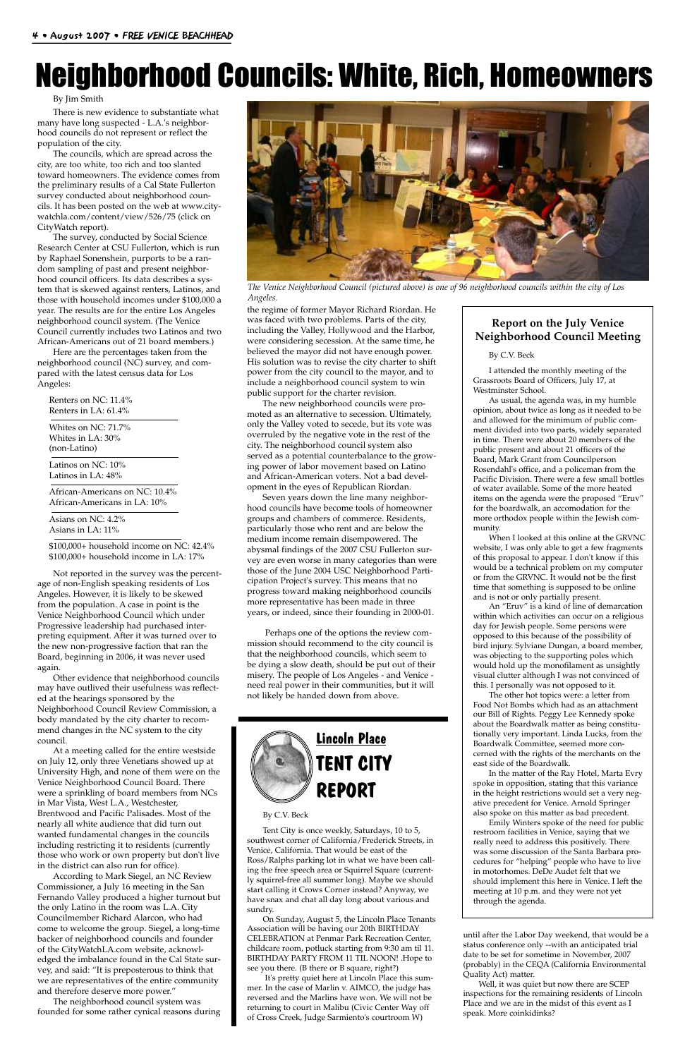#### By Jim Smith

There is new evidence to substantiate what many have long suspected - L.A.'s neighborhood councils do not represent or reflect the population of the city.

The councils, which are spread across the city, are too white, too rich and too slanted toward homeowners. The evidence comes from the preliminary results of a Cal State Fullerton survey conducted about neighborhood councils. It has been posted on the web at www.citywatchla.com/content/view/526/75 (click on CityWatch report).

The survey, conducted by Social Science Research Center at CSU Fullerton, which is run by Raphael Sonenshein, purports to be a random sampling of past and present neighborhood council officers. Its data describes a system that is skewed against renters, Latinos, and those with household incomes under \$100,000 a year. The results are for the entire Los Angeles neighborhood council system. (The Venice Council currently includes two Latinos and two African-Americans out of 21 board members.)

Here are the percentages taken from the neighborhood council (NC) survey, and compared with the latest census data for Los Angeles:

Renters on NC: 11.4% Renters in LA: 61.4%

Whites on NC: 71.7% Whites in LA: 30% (non-Latino)

Latinos on NC: 10% Latinos in LA: 48%

African-Americans on NC: 10.4% African-Americans in LA: 10%

Asians on NC: 4.2% Asians in LA: 11%

\$100,000+ household income on NC: 42.4%

\$100,000+ household income in LA: 17% Not reported in the survey was the percent-

age of non-English speaking residents of Los Angeles. However, it is likely to be skewed from the population. A case in point is the Venice Neighborhood Council which under Progressive leadership had purchased interpreting equipment. After it was turned over to the new non-progressive faction that ran the Board, beginning in 2006, it was never used again.

Other evidence that neighborhood councils may have outlived their usefulness was reflected at the hearings sponsored by the Neighborhood Council Review Commission, a body mandated by the city charter to recommend changes in the NC system to the city council.

At a meeting called for the entire westside on July 12, only three Venetians showed up at University High, and none of them were on the Venice Neighborhood Council Board. There were a sprinkling of board members from NCs in Mar Vista, West L.A., Westchester, Brentwood and Pacific Palisades. Most of the nearly all white audience that did turn out wanted fundamental changes in the councils including restricting it to residents (currently those who work or own property but don't live in the district can also run for office). According to Mark Siegel, an NC Review Commissioner, a July 16 meeting in the San Fernando Valley produced a higher turnout but the only Latino in the room was L.A. City Councilmember Richard Alarcon, who had come to welcome the group. Siegel, a long-time backer of neighborhood councils and founder of the CityWatchLA.com website, acknowledged the imbalance found in the Cal State survey, and said: "It is preposterous to think that we are representatives of the entire community and therefore deserve more power." The neighborhood council system was founded for some rather cynical reasons during



#### By C.V. Beck

Tent City is once weekly, Saturdays, 10 to 5, southwest corner of California/Frederick Streets, in Venice, California. That would be east of the Ross/Ralphs parking lot in what we have been calling the free speech area or Squirrel Square (currently squirrel-free all summer long). Maybe we should start calling it Crows Corner instead? Anyway, we have snax and chat all day long about various and sundry.

On Sunday, August 5, the Lincoln Place Tenants Association will be having our 20th BIRTHDAY CELEBRATION at Penmar Park Recreation Center, childcare room, potluck starting from 9:30 am til 11. BIRTHDAY PARTY FROM 11 TIL NOON! .Hope to see you there. (B there or B square, right?)

It's pretty quiet here at Lincoln Place this summer. In the case of Marlin v. AIMCO, the judge has reversed and the Marlins have won. We will not be returning to court in Malibu (Civic Center Way off of Cross Creek, Judge Sarmiento's courtroom W)

#### **Report on the July Venice Neighborhood Council Meeting**

#### By C.V. Beck

I attended the monthly meeting of the Grassroots Board of Officers, July 17, at Westminster School.

As usual, the agenda was, in my humble opinion, about twice as long as it needed to be and allowed for the minimum of public comment divided into two parts, widely separated in time. There were about 20 members of the public present and about 21 officers of the Board, Mark Grant from Councilperson Rosendahl's office, and a policeman from the Pacific Division. There were a few small bottles of water available. Some of the more heated items on the agenda were the proposed "Eruv" for the boardwalk, an accomodation for the more orthodox people within the Jewish community.

When I looked at this online at the GRVNC website, I was only able to get a few fragments of this proposal to appear. I don't know if this would be a technical problem on my computer or from the GRVNC. It would not be the first time that something is supposed to be online and is not or only partially present.

An "Eruv" is a kind of line of demarcation within which activities can occur on a religious day for Jewish people. Some persons were opposed to this because of the possibility of bird injury. Sylviane Dungan, a board member, was objecting to the supporting poles which would hold up the monofilament as unsightly visual clutter although I was not convinced of this. I personally was not opposed to it.

The other hot topics were: a letter from Food Not Bombs which had as an attachment our Bill of Rights. Peggy Lee Kennedy spoke about the Boardwalk matter as being constitutionally very important. Linda Lucks, from the Boardwalk Committee, seemed more concerned with the rights of the merchants on the east side of the Boardwalk.

In the matter of the Ray Hotel, Marta Evry spoke in opposition, stating that this variance in the height restrictions would set a very negative precedent for Venice. Arnold Springer also spoke on this matter as bad precedent. Emily Winters spoke of the need for public restroom facilities in Venice, saying that we really need to address this positively. There was some discussion of the Santa Barbara procedures for "helping" people who have to live in motorhomes. DeDe Audet felt that we should implement this here in Venice. I left the meeting at 10 p.m. and they were not yet through the agenda.

the regime of former Mayor Richard Riordan. He was faced with two problems. Parts of the city, including the Valley, Hollywood and the Harbor, were considering secession. At the same time, he believed the mayor did not have enough power. His solution was to revise the city charter to shift power from the city council to the mayor, and to include a neighborhood council system to win public support for the charter revision.

The new neighborhood councils were promoted as an alternative to secession. Ultimately, only the Valley voted to secede, but its vote was overruled by the negative vote in the rest of the city. The neighborhood council system also served as a potential counterbalance to the growing power of labor movement based on Latino and African-American voters. Not a bad development in the eyes of Republican Riordan.

Seven years down the line many neighborhood councils have become tools of homeowner groups and chambers of commerce. Residents, particularly those who rent and are below the medium income remain disempowered. The abysmal findings of the 2007 CSU Fullerton survey are even worse in many categories than were those of the June 2004 USC Neighborhood Participation Project's survey. This means that no progress toward making neighborhood councils more representative has been made in three years, or indeed, since their founding in 2000-01.

Perhaps one of the options the review commission should recommend to the city council is that the neighborhood councils, which seem to be dying a slow death, should be put out of their misery. The people of Los Angeles - and Venice need real power in their communities, but it will not likely be handed down from above.

## Neighborhood Councils: White, Rich, Homeowners



*The Venice Neighborhood Council (pictured above) is one of 96 neighborhood councils within the city of Los Angeles.*

until after the Labor Day weekend, that would be a status conference only --with an anticipated trial date to be set for sometime in November, 2007 (probably) in the CEQA (California Environmental Quality Act) matter.

Well, it was quiet but now there are SCEP inspections for the remaining residents of Lincoln Place and we are in the midst of this event as I speak. More coinkidinks?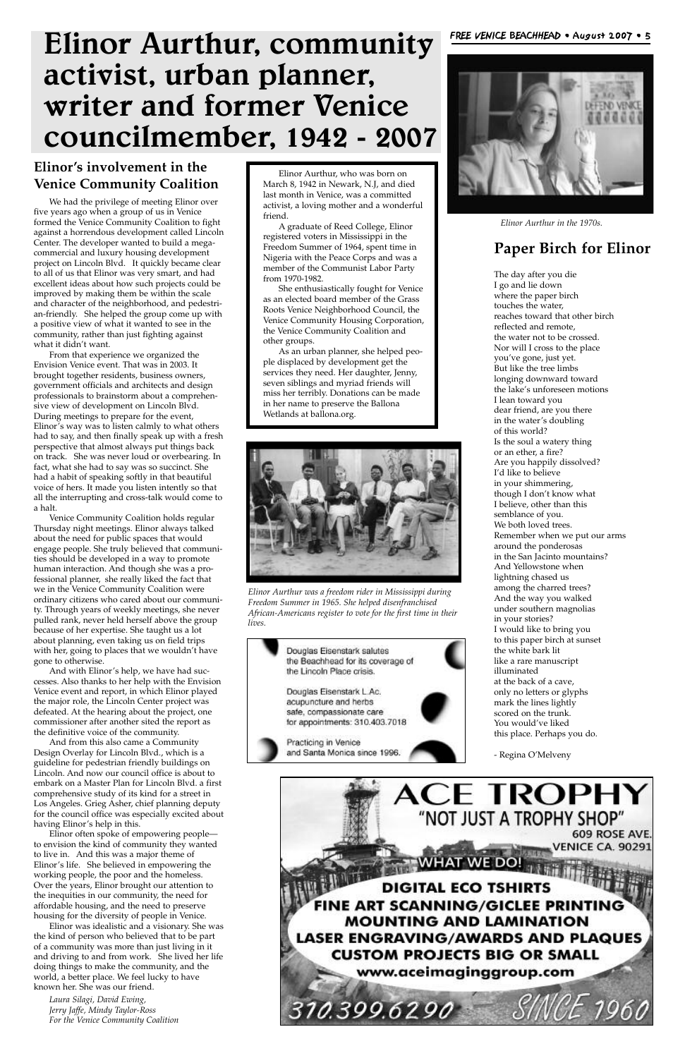

### **Paper Birch for Elinor**

The day after you die I go and lie down where the paper birch touches the water, reaches toward that other birch reflected and remote, the water not to be crossed. Nor will I cross to the place you've gone, just yet. But like the tree limbs longing downward toward the lake's unforeseen motions I lean toward you dear friend, are you there in the water's doubling of this world? Is the soul a watery thing or an ether, a fire? Are you happily dissolved? I'd like to believe in your shimmering, though I don't know what I believe, other than this semblance of you. We both loved trees. Remember when we put our arms around the ponderosas in the San Jacinto mountains? And Yellowstone when lightning chased us among the charred trees? And the way you walked under southern magnolias in your stories? I would like to bring you to this paper birch at sunset the white bark lit like a rare manuscript illuminated at the back of a cave, only no letters or glyphs mark the lines lightly scored on the trunk. You would've liked this place. Perhaps you do.

- Regina O'Melveny

## **Elinor Aurthur, community activist, urban planner, writer and former Venice councilmember, 1942 - 2007**

### **Elinor's involvement in the Venice Community Coalition**

We had the privilege of meeting Elinor over five years ago when a group of us in Venice formed the Venice Community Coalition to fight against a horrendous development called Lincoln Center. The developer wanted to build a megacommercial and luxury housing development project on Lincoln Blvd. It quickly became clear to all of us that Elinor was very smart, and had excellent ideas about how such projects could be improved by making them be within the scale and character of the neighborhood, and pedestrian-friendly. She helped the group come up with a positive view of what it wanted to see in the community, rather than just fighting against what it didn't want.

From that experience we organized the Envision Venice event. That was in 2003. It brought together residents, business owners, government officials and architects and design professionals to brainstorm about a comprehensive view of development on Lincoln Blvd. During meetings to prepare for the event, Elinor's way was to listen calmly to what others had to say, and then finally speak up with a fresh perspective that almost always put things back on track. She was never loud or overbearing. In fact, what she had to say was so succinct. She had a habit of speaking softly in that beautiful voice of hers. It made you listen intently so that all the interrupting and cross-talk would come to a halt.

Venice Community Coalition holds regular Thursday night meetings. Elinor always talked about the need for public spaces that would engage people. She truly believed that communities should be developed in a way to promote human interaction. And though she was a professional planner, she really liked the fact that we in the Venice Community Coalition were ordinary citizens who cared about our community. Through years of weekly meetings, she never pulled rank, never held herself above the group because of her expertise. She taught us a lot about planning, even taking us on field trips with her, going to places that we wouldn't have gone to otherwise.

And with Elinor's help, we have had successes. Also thanks to her help with the Envision Venice event and report, in which Elinor played the major role, the Lincoln Center project was defeated. At the hearing about the project, one commissioner after another sited the report as the definitive voice of the community.

And from this also came a Community Design Overlay for Lincoln Blvd., which is a guideline for pedestrian friendly buildings on Lincoln. And now our council office is about to embark on a Master Plan for Lincoln Blvd. a first comprehensive study of its kind for a street in Los Angeles. Grieg Asher, chief planning deputy for the council office was especially excited about having Elinor's help in this. Elinor often spoke of empowering people to envision the kind of community they wanted to live in. And this was a major theme of Elinor's life. She believed in empowering the working people, the poor and the homeless. Over the years, Elinor brought our attention to the inequities in our community, the need for affordable housing, and the need to preserve housing for the diversity of people in Venice. Elinor was idealistic and a visionary. She was the kind of person who believed that to be part of a community was more than just living in it and driving to and from work. She lived her life doing things to make the community, and the world, a better place. We feel lucky to have known her. She was our friend.

*Laura Silagi, David Ewing, Jerry Jaffe, Mindy Taylor-Ross For the Venice Community Coalition*





*Elinor Aurthur in the 1970s.*

Elinor Aurthur, who was born on March 8, 1942 in Newark, N.J, and died last month in Venice, was a committed activist, a loving mother and a wonderful friend.

A graduate of Reed College, Elinor registered voters in Mississippi in the Freedom Summer of 1964, spent time in Nigeria with the Peace Corps and was a member of the Communist Labor Party from 1970-1982.

She enthusiastically fought for Venice as an elected board member of the Grass Roots Venice Neighborhood Council, the Venice Community Housing Corporation, the Venice Community Coalition and other groups.

As an urban planner, she helped people displaced by development get the services they need. Her daughter, Jenny, seven siblings and myriad friends will miss her terribly. Donations can be made in her name to preserve the Ballona Wetlands at ballona.org.



*Elinor Aurthur was a freedom rider in Mississippi during Freedom Summer in 1965. She helped disenfranchised African-Americans register to vote for the first time in their lives.*

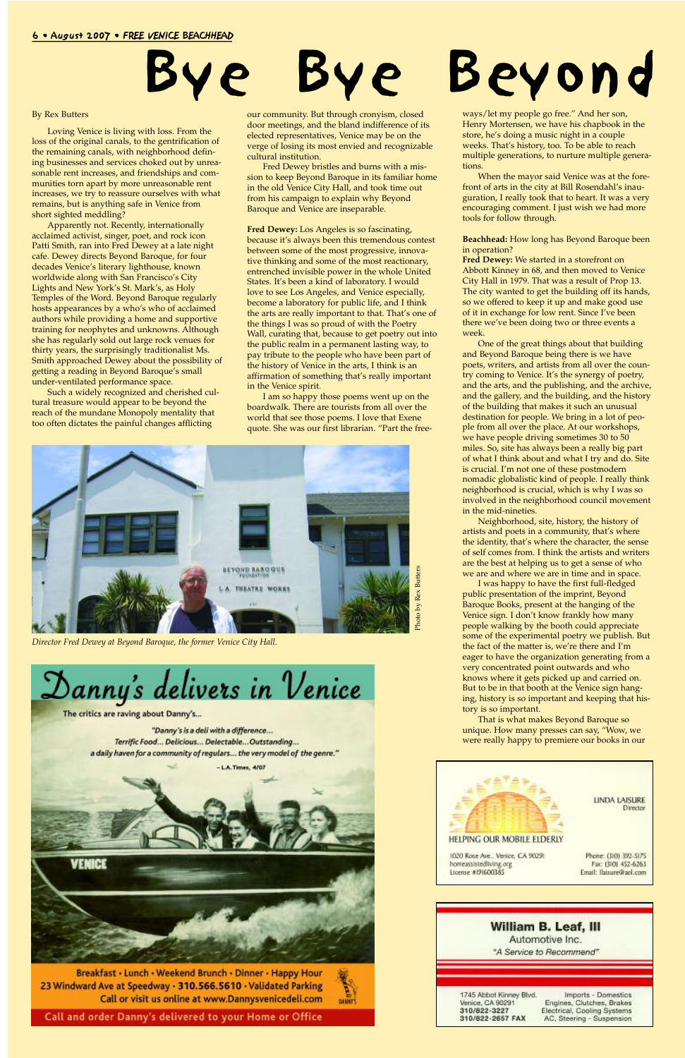#### 6 • August 2007 • FREE VENICE BEACHHEAD

# re Bye Beyond

#### By Rex Butters

Loving Venice is living with loss. From the loss of the original canals, to the gentrification of the remaining canals, with neighborhood defining businesses and services choked out by unreasonable rent increases, and friendships and communities torn apart by more unreasonable rent increases, we try to reassure ourselves with what remains, but is anything safe in Venice from short sighted meddling?

Apparently not. Recently, internationally acclaimed activist, singer, poet, and rock icon Patti Smith, ran into Fred Dewey at a late night cafe. Dewey directs Beyond Baroque, for four decades Venice's literary lighthouse, known worldwide along with San Francisco's City Lights and New York's St. Mark's, as Holy Temples of the Word. Beyond Baroque regularly hosts appearances by a who's who of acclaimed authors while providing a home and supportive training for neophytes and unknowns. Although she has regularly sold out large rock venues for thirty years, the surprisingly traditionalist Ms. Smith approached Dewey about the possibility of getting a reading in Beyond Baroque's small under-ventilated performance space.

Such a widely recognized and cherished cultural treasure would appear to be beyond the reach of the mundane Monopoly mentality that too often dictates the painful changes afflicting

our community. But through cronyism, closed door meetings, and the bland indifference of its elected representatives, Venice may be on the verge of losing its most envied and recognizable cultural institution.

Fred Dewey bristles and burns with a mission to keep Beyond Baroque in its familiar home in the old Venice City Hall, and took time out from his campaign to explain why Beyond Baroque and Venice are inseparable.

**Fred Dewey:** Los Angeles is so fascinating, because it's always been this tremendous contest between some of the most progressive, innovative thinking and some of the most reactionary, entrenched invisible power in the whole United States. It's been a kind of laboratory. I would love to see Los Angeles, and Venice especially, become a laboratory for public life, and I think the arts are really important to that. That's one of the things I was so proud of with the Poetry Wall, curating that, because to get poetry out into the public realm in a permanent lasting way, to pay tribute to the people who have been part of the history of Venice in the arts, I think is an affirmation of something that's really important in the Venice spirit.

I am so happy those poems went up on the boardwalk. There are tourists from all over the world that see those poems. I love that Exene quote. She was our first librarian. "Part the free-

DANNE'S

ways/let my people go free." And her son, Henry Mortensen, we have his chapbook in the store, he's doing a music night in a couple weeks. That's history, too. To be able to reach multiple generations, to nurture multiple generations.

When the mayor said Venice was at the forefront of arts in the city at Bill Rosendahl's inauguration, I really took that to heart. It was a very encouraging comment. I just wish we had more tools for follow through.

**Beachhead:** How long has Beyond Baroque been in operation?

**Fred Dewey:** We started in a storefront on Abbott Kinney in 68, and then moved to Venice City Hall in 1979. That was a result of Prop 13. The city wanted to get the building off its hands, so we offered to keep it up and make good use of it in exchange for low rent. Since I've been there we've been doing two or three events a week.

One of the great things about that building and Beyond Baroque being there is we have poets, writers, and artists from all over the country coming to Venice. It's the synergy of poetry, and the arts, and the publishing, and the archive, and the gallery, and the building, and the history of the building that makes it such an unusual destination for people. We bring in a lot of people from all over the place. At our workshops, we have people driving sometimes 30 to 50 miles. So, site has always been a really big part of what I think about and what I try and do. Site is crucial. I'm not one of these postmodern nomadic globalistic kind of people. I really think neighborhood is crucial, which is why I was so involved in the neighborhood council movement in the mid-nineties.

Neighborhood, site, history, the history of artists and poets in a community, that's where the identity, that's where the character, the sense of self comes from. I think the artists and writers are the best at helping us to get a sense of who we are and where we are in time and in space.

I was happy to have the first full-fledged public presentation of the imprint, Beyond Baroque Books, present at the hanging of the Venice sign. I don't know frankly how many people walking by the booth could appreciate some of the experimental poetry we publish. But the fact of the matter is, we're there and I'm eager to have the organization generating from a very concentrated point outwards and who knows where it gets picked up and carried on. But to be in that booth at the Venice sign hanging, history is so important and keeping that history is so important.

That is what makes Beyond Baroque so unique. How many presses can say, "Wow, we were really happy to premiere our books in our



Breakfast · Lunch · Weekend Brunch · Dinner · Happy Hour 23 Windward Ave at Speedway · 310.566.5610 · Validated Parking Call or visit us online at www.Dannysvenicedeli.com

Call and order Danny's delivered to your Home or Office



**LINDA LAISURE** Director

Phone: (310) 392-5175 Fax: (310) 452-6263 Email: Ilaisure@aol.com





*Director Fred Dewey at Beyond Baroque, the former Venice City Hall.*

Danny's delivers in Venice

The critics are raving about Danny's...

"Danny's is a deli with a difference... Terrific Food... Delicious... Delectable... Outstanding... a daily haven for a community of regulars... the very model of the genre."

 $-LA$ . Times,  $4/07$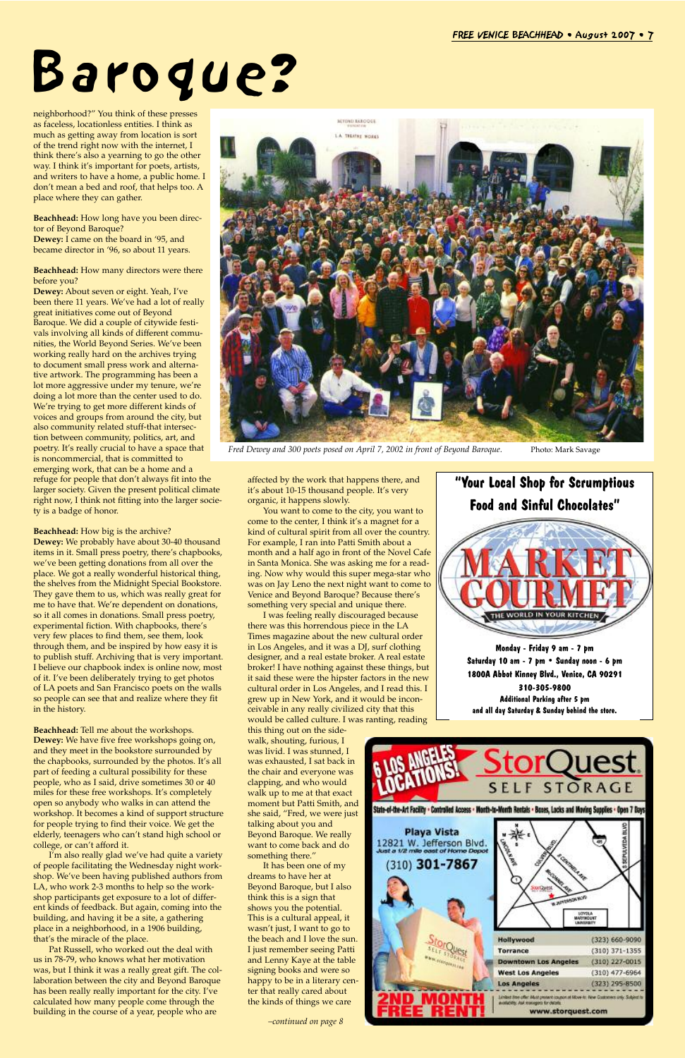neighborhood?" You think of these presses as faceless, locationless entities. I think as much as getting away from location is sort of the trend right now with the internet, I think there's also a yearning to go the other way. I think it's important for poets, artists, and writers to have a home, a public home. I don't mean a bed and roof, that helps too. A place where they can gather.

**Beachhead:** How long have you been director of Beyond Baroque? **Dewey:** I came on the board in '95, and became director in '96, so about 11 years.

**Beachhead:** How many directors were there before you?

**Dewey:** About seven or eight. Yeah, I've been there 11 years. We've had a lot of really great initiatives come out of Beyond Baroque. We did a couple of citywide festivals involving all kinds of different communities, the World Beyond Series. We've been working really hard on the archives trying to document small press work and alternative artwork. The programming has been a lot more aggressive under my tenure, we're doing a lot more than the center used to do. We're trying to get more different kinds of voices and groups from around the city, but also community related stuff-that intersection between community, politics, art, and poetry. It's really crucial to have a space that is noncommercial, that is committed to emerging work, that can be a home and a refuge for people that don't always fit into the larger society. Given the present political climate right now, I think not fitting into the larger society is a badge of honor.

**Beachhead:** How big is the archive? **Dewey:** We probably have about 30-40 thousand items in it. Small press poetry, there's chapbooks, we've been getting donations from all over the place. We got a really wonderful historical thing, the shelves from the Midnight Special Bookstore. They gave them to us, which was really great for me to have that. We're dependent on donations, so it all comes in donations. Small press poetry, experimental fiction. With chapbooks, there's very few places to find them, see them, look through them, and be inspired by how easy it is to publish stuff. Archiving that is very important. I believe our chapbook index is online now, most of it. I've been deliberately trying to get photos of LA poets and San Francisco poets on the walls so people can see that and realize where they fit in the history.

**Beachhead:** Tell me about the workshops. **Dewey:** We have five free workshops going on, and they meet in the bookstore surrounded by the chapbooks, surrounded by the photos. It's all part of feeding a cultural possibility for these people, who as I said, drive sometimes 30 or 40 miles for these free workshops. It's completely open so anybody who walks in can attend the workshop. It becomes a kind of support structure for people trying to find their voice. We get the elderly, teenagers who can't stand high school or college, or can't afford it. I'm also really glad we've had quite a variety of people facilitating the Wednesday night workshop. We've been having published authors from LA, who work 2-3 months to help so the workshop participants get exposure to a lot of different kinds of feedback. But again, coming into the building, and having it be a site, a gathering place in a neighborhood, in a 1906 building, that's the miracle of the place. Pat Russell, who worked out the deal with us in 78-79, who knows what her motivation was, but I think it was a really great gift. The collaboration between the city and Beyond Baroque has been really really important for the city. I've calculated how many people come through the building in the course of a year, people who are



Fred Dewey and 300 poets posed on April 7, 2002 in front of Beyond Baroque. Photo: Mark Savage

affected by the work that happens there, and it's about 10-15 thousand people. It's very organic, it happens slowly.

You want to come to the city, you want to come to the center, I think it's a magnet for a kind of cultural spirit from all over the country. For example, I ran into Patti Smith about a month and a half ago in front of the Novel Cafe in Santa Monica. She was asking me for a reading. Now why would this super mega-star who was on Jay Leno the next night want to come to Venice and Beyond Baroque? Because there's something very special and unique there.

I was feeling really discouraged because there was this horrendous piece in the LA Times magazine about the new cultural order in Los Angeles, and it was a DJ, surf clothing designer, and a real estate broker. A real estate broker! I have nothing against these things, but it said these were the hipster factors in the new cultural order in Los Angeles, and I read this. I grew up in New York, and it would be inconceivable in any really civilized city that this would be called culture. I was ranting, reading

this thing out on the sidewalk, shouting, furious, I was livid. I was stunned, I was exhausted, I sat back in the chair and everyone was clapping, and who would walk up to me at that exact moment but Patti Smith, and she said, "Fred, we were just talking about you and Beyond Baroque. We really want to come back and do something there." It has been one of my dreams to have her at Beyond Baroque, but I also think this is a sign that shows you the potential. This is a cultural appeal, it wasn't just, I want to go to the beach and I love the sun. I just remember seeing Patti and Lenny Kaye at the table signing books and were so happy to be in a literary center that really cared about the kinds of things we care

# Baroque?



**Monday - Friday 9 am - 7 pm Saturday 10 am - 7 pm • Sunday noon - 6 pm 1800A Abbot Kinney Blvd., Venice, CA 90291 310-305-9800 Additional Parking after 5 pm and all day Saturday & Sunday behind the store.** 



*–continued on page 8*

| URITIMIEN                                                                                                               | <b>SELF STORAGE</b>                                                                                                                                  |                                     |
|-------------------------------------------------------------------------------------------------------------------------|------------------------------------------------------------------------------------------------------------------------------------------------------|-------------------------------------|
| State-of-the-Art Facility • Controlled Access • Month-to-Wonth Rentals • Boxes, Locks and Moving Supplies • Open 7 Days |                                                                                                                                                      |                                     |
| <b>Playa Vista</b><br>12821 W. Jefferson Blvd.<br>Just a 1/2 mile east of Home Depot<br>(310) 301-7867                  | <b>WARRANTIN W.P.</b>                                                                                                                                | LOVOLA<br>MARINDUNT<br>LIVINGRISHTY |
|                                                                                                                         | Hollywood                                                                                                                                            | (323) 660-9090                      |
|                                                                                                                         | <b>Torrance</b>                                                                                                                                      | $(310)$ 371-1355                    |
| <b>WILLICOTORILLINE</b>                                                                                                 | <b>Downtown Los Angeles</b>                                                                                                                          | $(310)$ 227-0015                    |
|                                                                                                                         | <b>West Los Angeles</b>                                                                                                                              | $(310)$ 477-6964                    |
|                                                                                                                         | <b>Los Angeles</b>                                                                                                                                   | (323) 295-8500                      |
|                                                                                                                         | Limited Stee offer: Must present coupon at Move for, New Costomers only. Subject for<br>availability. Auf monogota for details.<br>www.storquest.com |                                     |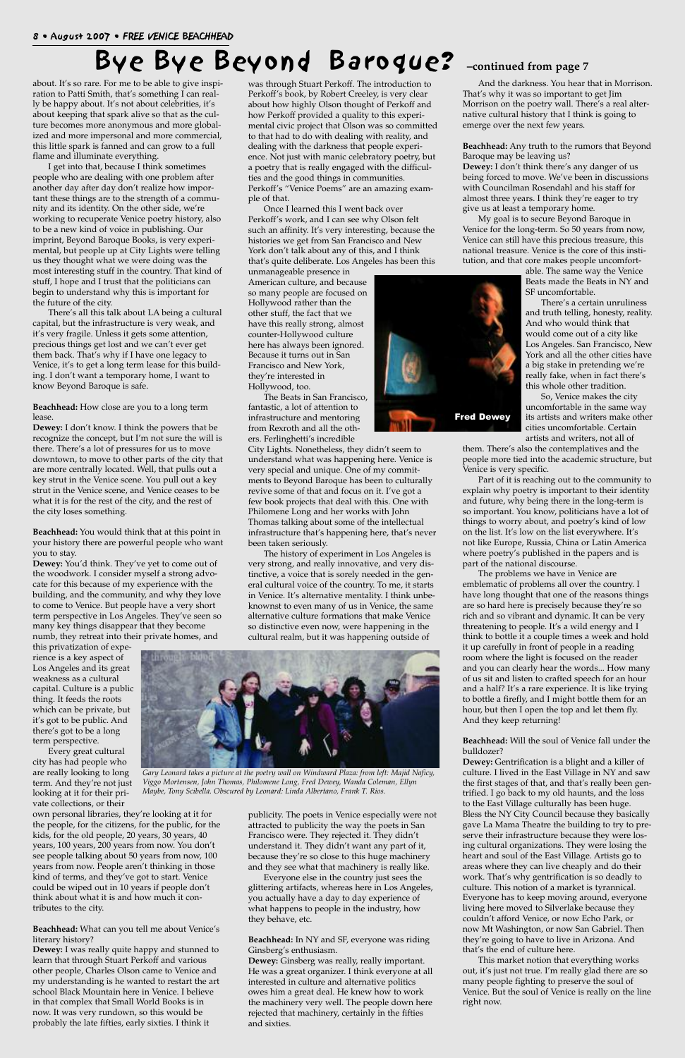about. It's so rare. For me to be able to give inspiration to Patti Smith, that's something I can really be happy about. It's not about celebrities, it's about keeping that spark alive so that as the culture becomes more anonymous and more globalized and more impersonal and more commercial, this little spark is fanned and can grow to a full flame and illuminate everything.

I get into that, because I think sometimes people who are dealing with one problem after another day after day don't realize how important these things are to the strength of a community and its identity. On the other side, we're working to recuperate Venice poetry history, also to be a new kind of voice in publishing. Our imprint, Beyond Baroque Books, is very experimental, but people up at City Lights were telling us they thought what we were doing was the most interesting stuff in the country. That kind of stuff, I hope and I trust that the politicians can begin to understand why this is important for the future of the city.

There's all this talk about LA being a cultural capital, but the infrastructure is very weak, and it's very fragile. Unless it gets some attention, precious things get lost and we can't ever get them back. That's why if I have one legacy to Venice, it's to get a long term lease for this building. I don't want a temporary home, I want to know Beyond Baroque is safe.

**Beachhead:** How close are you to a long term lease.

**Dewey:** I don't know. I think the powers that be recognize the concept, but I'm not sure the will is there. There's a lot of pressures for us to move downtown, to move to other parts of the city that are more centrally located. Well, that pulls out a key strut in the Venice scene. You pull out a key strut in the Venice scene, and Venice ceases to be what it is for the rest of the city, and the rest of the city loses something.

**Beachhead:** You would think that at this point in your history there are powerful people who want you to stay.

**Dewey:** You'd think. They've yet to come out of the woodwork. I consider myself a strong advocate for this because of my experience with the building, and the community, and why they love to come to Venice. But people have a very short term perspective in Los Angeles. They've seen so many key things disappear that they become numb, they retreat into their private homes, and

this privatization of experience is a key aspect of Los Angeles and its great weakness as a cultural capital. Culture is a public thing. It feeds the roots which can be private, but it's got to be public. And there's got to be a long term perspective.

Every great cultural city has had people who are really looking to long term. And they're not just looking at it for their private collections, or their own personal libraries, they're looking at it for the people, for the citizens, for the public, for the kids, for the old people, 20 years, 30 years, 40 years, 100 years, 200 years from now. You don't see people talking about 50 years from now, 100 years from now. People aren't thinking in those kind of terms, and they've got to start. Venice could be wiped out in 10 years if people don't think about what it is and how much it contributes to the city.

**Beachhead:** What can you tell me about Venice's literary history?

**Dewey:** I was really quite happy and stunned to learn that through Stuart Perkoff and various other people, Charles Olson came to Venice and my understanding is he wanted to restart the art school Black Mountain here in Venice. I believe in that complex that Small World Books is in now. It was very rundown, so this would be probably the late fifties, early sixties. I think it

was through Stuart Perkoff. The introduction to Perkoff's book, by Robert Creeley, is very clear about how highly Olson thought of Perkoff and how Perkoff provided a quality to this experimental civic project that Olson was so committed to that had to do with dealing with reality, and dealing with the darkness that people experience. Not just with manic celebratory poetry, but a poetry that is really engaged with the difficulties and the good things in communities. Perkoff's "Venice Poems" are an amazing example of that.

Once I learned this I went back over Perkoff's work, and I can see why Olson felt such an affinity. It's very interesting, because the histories we get from San Francisco and New York don't talk about any of this, and I think that's quite deliberate. Los Angeles has been this

unmanageable presence in American culture, and because so many people are focused on Hollywood rather than the other stuff, the fact that we have this really strong, almost counter-Hollywood culture here has always been ignored. Because it turns out in San Francisco and New York, they're interested in Hollywood, too.

The Beats in San Francisco, fantastic, a lot of attention to infrastructure and mentoring from Rexroth and all the others. Ferlinghetti's incredible

City Lights. Nonetheless, they didn't seem to understand what was happening here. Venice is very special and unique. One of my commitments to Beyond Baroque has been to culturally revive some of that and focus on it. I've got a few book projects that deal with this. One with Philomene Long and her works with John Thomas talking about some of the intellectual infrastructure that's happening here, that's never been taken seriously.

The history of experiment in Los Angeles is very strong, and really innovative, and very distinctive, a voice that is sorely needed in the general cultural voice of the country. To me, it starts in Venice. It's alternative mentality. I think unbeknownst to even many of us in Venice, the same alternative culture formations that make Venice so distinctive even now, were happening in the cultural realm, but it was happening outside of

publicity. The poets in Venice especially were not attracted to publicity the way the poets in San Francisco were. They rejected it. They didn't understand it. They didn't want any part of it, because they're so close to this huge machinery and they see what that machinery is really like.

Everyone else in the country just sees the glittering artifacts, whereas here in Los Angeles, you actually have a day to day experience of what happens to people in the industry, how they behave, etc.

**Beachhead:** In NY and SF, everyone was riding Ginsberg's enthusiasm.

**Dewey:** Ginsberg was really, really important. He was a great organizer. I think everyone at all interested in culture and alternative politics owes him a great deal. He knew how to work the machinery very well. The people down here rejected that machinery, certainly in the fifties and sixties.

And the darkness. You hear that in Morrison. That's why it was so important to get Jim Morrison on the poetry wall. There's a real alternative cultural history that I think is going to emerge over the next few years.

**Beachhead:** Any truth to the rumors that Beyond Baroque may be leaving us?

**Dewey:** I don't think there's any danger of us being forced to move. We've been in discussions with Councilman Rosendahl and his staff for almost three years. I think they're eager to try give us at least a temporary home.

My goal is to secure Beyond Baroque in Venice for the long-term. So 50 years from now, Venice can still have this precious treasure, this national treasure. Venice is the core of this institution, and that core makes people uncomfort-

able. The same way the Venice Beats made the Beats in NY and SF uncomfortable.

There's a certain unruliness and truth telling, honesty, reality. And who would think that would come out of a city like Los Angeles. San Francisco, New York and all the other cities have a big stake in pretending we're really fake, when in fact there's this whole other tradition.

So, Venice makes the city uncomfortable in the same way its artists and writers make other cities uncomfortable. Certain artists and writers, not all of

them. There's also the contemplatives and the people more tied into the academic structure, but Venice is very specific.

Part of it is reaching out to the community to explain why poetry is important to their identity and future, why being there in the long-term is so important. You know, politicians have a lot of things to worry about, and poetry's kind of low on the list. It's low on the list everywhere. It's not like Europe, Russia, China or Latin America where poetry's published in the papers and is part of the national discourse.

The problems we have in Venice are emblematic of problems all over the country. I have long thought that one of the reasons things are so hard here is precisely because they're so rich and so vibrant and dynamic. It can be very threatening to people. It's a wild energy and I think to bottle it a couple times a week and hold it up carefully in front of people in a reading room where the light is focused on the reader and you can clearly hear the words... How many of us sit and listen to crafted speech for an hour and a half? It's a rare experience. It is like trying to bottle a firefly, and I might bottle them for an hour, but then I open the top and let them fly. And they keep returning!

#### **Beachhead:** Will the soul of Venice fall under the bulldozer?

**Dewey:** Gentrification is a blight and a killer of culture. I lived in the East Village in NY and saw the first stages of that, and that's really been gentrified. I go back to my old haunts, and the loss to the East Village culturally has been huge. Bless the NY City Council because they basically gave La Mama Theatre the building to try to preserve their infrastructure because they were losing cultural organizations. They were losing the heart and soul of the East Village. Artists go to areas where they can live cheaply and do their work. That's why gentrification is so deadly to culture. This notion of a market is tyrannical. Everyone has to keep moving around, everyone living here moved to Silverlake because they couldn't afford Venice, or now Echo Park, or now Mt Washington, or now San Gabriel. Then they're going to have to live in Arizona. And that's the end of culture here.

This market notion that everything works out, it's just not true. I'm really glad there are so many people fighting to preserve the soul of Venice. But the soul of Venice is really on the line right now.

## Bye Bye Beyond Baroque? **–continued from page 7**





*Gary Leonard takes a picture at the poetry wall on Windward Plaza: from left: Majid Naficy,*

*Viggo Mortensen, John Thomas, Philomene Long, Fred Dewey, Wanda Coleman, Ellyn Maybe, Tony Scibella. Obscured by Leonard: Linda Albertano, Frank T. Rios.*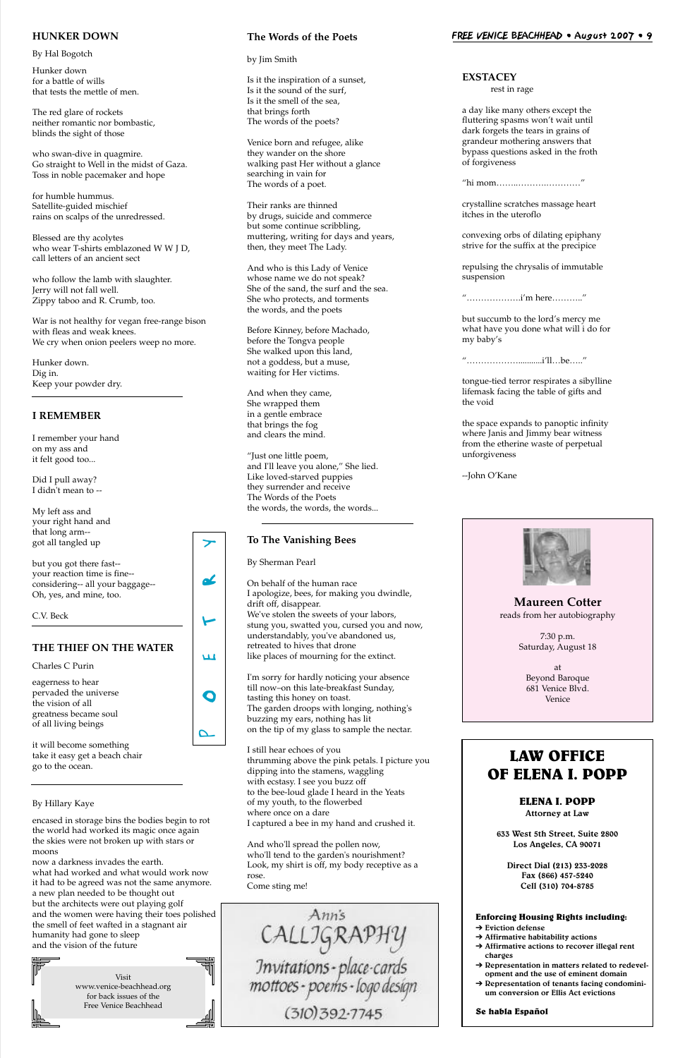o

**LLI** 

t

oL

 $\blacktriangleright$ 

Visit www.venice-beachhead.org for back issues of the Free Venice Beachhead

#### **HUNKER DOWN**

By Hal Bogotch

Hunker down for a battle of wills that tests the mettle of men.

The red glare of rockets neither romantic nor bombastic, blinds the sight of those

who swan-dive in quagmire. Go straight to Well in the midst of Gaza. Toss in noble pacemaker and hope

for humble hummus. Satellite-guided mischief rains on scalps of the unredressed.

Blessed are thy acolytes who wear T-shirts emblazoned W W J D, call letters of an ancient sect

who follow the lamb with slaughter. Jerry will not fall well. Zippy taboo and R. Crumb, too.

War is not healthy for vegan free-range bison with fleas and weak knees. We cry when onion peelers weep no more.

Hunker down. Dig in. Keep your powder dry.

#### **I REMEMBER**

I remember your hand on my ass and it felt good too...

Did I pull away? I didn't mean to --

My left ass and your right hand and that long arm- got all tangled up

but you got there fast- your reaction time is fine- considering-- all your baggage-- Oh, yes, and mine, too.

C.V. Beck

#### **THE THIEF ON THE WATER**

Charles C Purin

eagerness to hear pervaded the universe the vision of all greatness became soul of all living beings

it will become something take it easy get a beach chair go to the ocean.

#### By Hillary Kaye

encased in storage bins the bodies begin to rot the world had worked its magic once again the skies were not broken up with stars or moons

 $\boldsymbol{\mathsf{\Omega}}$ 

now a darkness invades the earth. what had worked and what would work now it had to be agreed was not the same anymore. a new plan needed to be thought out but the architects were out playing golf and the women were having their toes polished the smell of feet wafted in a stagnant air humanity had gone to sleep and the vision of the future

#### **The Words of the Poets**

by Jim Smith

Is it the inspiration of a sunset, Is it the sound of the surf, Is it the smell of the sea, that brings forth The words of the poets?

Venice born and refugee, alike they wander on the shore walking past Her without a glance searching in vain for The words of a poet.

Their ranks are thinned by drugs, suicide and commerce but some continue scribbling, muttering, writing for days and years, then, they meet The Lady.

And who is this Lady of Venice whose name we do not speak? She of the sand, the surf and the sea. She who protects, and torments the words, and the poets

Before Kinney, before Machado, before the Tongva people She walked upon this land, not a goddess, but a muse, waiting for Her victims.

And when they came, She wrapped them in a gentle embrace that brings the fog and clears the mind.

"Just one little poem, and I'll leave you alone," She lied. Like loved-starved puppies they surrender and receive The Words of the Poets the words, the words, the words...

#### **To The Vanishing Bees**

By Sherman Pearl

On behalf of the human race I apologize, bees, for making you dwindle, drift off, disappear. We've stolen the sweets of your labors, stung you, swatted you, cursed you and now, understandably, you've abandoned us, retreated to hives that drone like places of mourning for the extinct.

I'm sorry for hardly noticing your absence till now–on this late-breakfast Sunday, tasting this honey on toast. The garden droops with longing, nothing's buzzing my ears, nothing has lit on the tip of my glass to sample the nectar.

I still hear echoes of you thrumming above the pink petals. I picture you dipping into the stamens, waggling with ecstasy. I see you buzz off to the bee-loud glade I heard in the Yeats of my youth, to the flowerbed where once on a dare I captured a bee in my hand and crushed it.

And who'll spread the pollen now, who'll tend to the garden's nourishment? Look, my shirt is off, my body receptive as a rose. Come sting me!

Anns CALLIGRAPHY<br>Invitations - place-cards<br>mottoes - poems - logo design (310) 392-7745

**EXSTACEY**

rest in rage

a day like many others except the fluttering spasms won't wait until dark forgets the tears in grains of grandeur mothering answers that bypass questions asked in the froth of forgiveness

"hi mom……..……….…………"

crystalline scratches massage heart itches in the uteroflo

convexing orbs of dilating epiphany strive for the suffix at the precipice

repulsing the chrysalis of immutable suspension

"……………….i'm here……….."

but succumb to the lord's mercy me what have you done what will i do for my baby's

"………………...........i'll…be….."

tongue-tied terror respirates a sibylline lifemask facing the table of gifts and the void

the space expands to panoptic infinity where Janis and Jimmy bear witness from the etherine waste of perpetual unforgiveness

--John O'Kane



#### **LAW OFFICE OF ELENA I. POPP**

#### **ELENA I. POPP Attorney at Law**

**633 West 5th Street, Suite 2800 Los Angeles, CA 90071**

**Direct Dial (213) 233-2028 Fax (866) 457-5240 Cell (310) 704-8785**

#### **Enforcing Housing Rights including:**

- ➔ **Eviction defense**
- ➔ **Affirmative habitability actions**
- ➔ **Affirmative actions to recover illegal rent charges**
- ➔ **Representation in matters related to redevelopment and the use of eminent domain**
- **→ Representation of tenants facing condominium conversion or Ellis Act evictions**

**Se habla Español**

**Maureen Cotter** reads from her autobiography

> 7:30 p.m. Saturday, August 18

at Beyond Baroque 681 Venice Blvd. Venice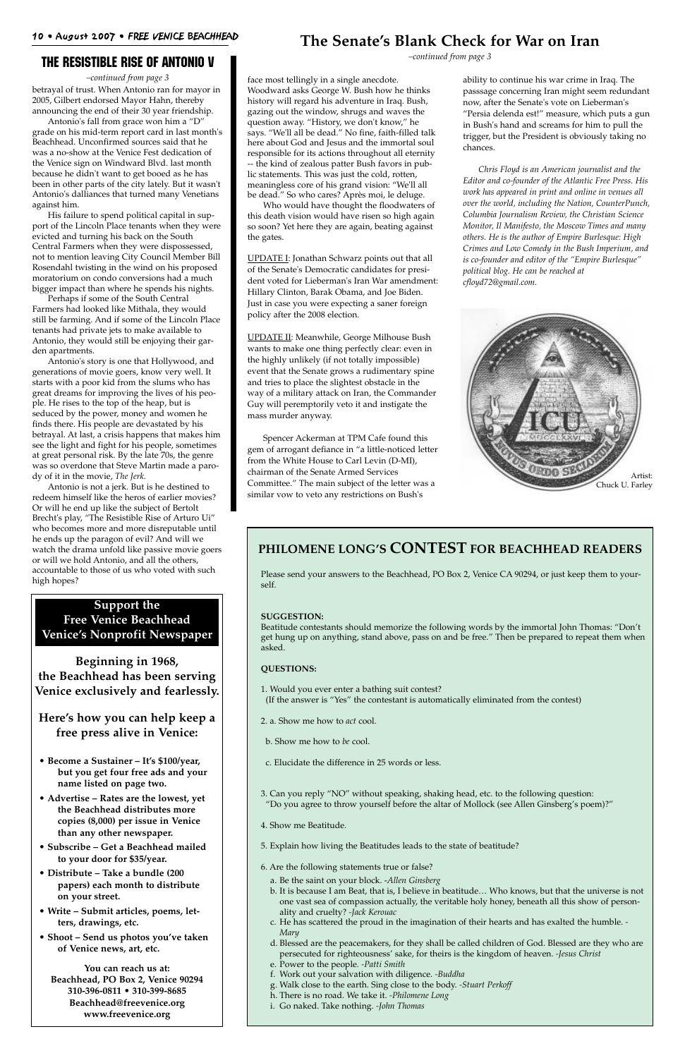betrayal of trust. When Antonio ran for mayor in 2005, Gilbert endorsed Mayor Hahn, thereby announcing the end of their 30 year friendship.

Antonio's fall from grace won him a "D" grade on his mid-term report card in last month's Beachhead. Unconfirmed sources said that he was a no-show at the Venice Fest dedication of the Venice sign on Windward Blvd. last month because he didn't want to get booed as he has been in other parts of the city lately. But it wasn't Antonio's dalliances that turned many Venetians against him.

His failure to spend political capital in support of the Lincoln Place tenants when they were evicted and turning his back on the South Central Farmers when they were dispossessed, not to mention leaving City Council Member Bill Rosendahl twisting in the wind on his proposed moratorium on condo conversions had a much bigger impact than where he spends his nights.

Perhaps if some of the South Central Farmers had looked like Mithala, they would still be farming. And if some of the Lincoln Place tenants had private jets to make available to Antonio, they would still be enjoying their garden apartments.

Antonio's story is one that Hollywood, and generations of movie goers, know very well. It starts with a poor kid from the slums who has great dreams for improving the lives of his people. He rises to the top of the heap, but is seduced by the power, money and women he finds there. His people are devastated by his betrayal. At last, a crisis happens that makes him see the light and fight for his people, sometimes at great personal risk. By the late 70s, the genre was so overdone that Steve Martin made a parody of it in the movie, *The Jerk.*

Antonio is not a jerk. But is he destined to redeem himself like the heros of earlier movies? Or will he end up like the subject of Bertolt Brecht's play, "The Resistible Rise of Arturo Ui" who becomes more and more disreputable until he ends up the paragon of evil? And will we watch the drama unfold like passive movie goers or will we hold Antonio, and all the others, accountable to those of us who voted with such high hopes?

#### The Resistible Rise of Antonio V

*–continued from page 3* face most tellingly in a single anecdote. Woodward asks George W. Bush how he thinks history will regard his adventure in Iraq. Bush, gazing out the window, shrugs and waves the question away. "History, we don't know," he says. "We'll all be dead." No fine, faith-filled talk here about God and Jesus and the immortal soul responsible for its actions throughout all eternity -- the kind of zealous patter Bush favors in public statements. This was just the cold, rotten, meaningless core of his grand vision: "We'll all be dead." So who cares? Après moi, le deluge.

Who would have thought the floodwaters of this death vision would have risen so high again so soon? Yet here they are again, beating against the gates.

UPDATE I: Jonathan Schwarz points out that all of the Senate's Democratic candidates for president voted for Lieberman's Iran War amendment: Hillary Clinton, Barak Obama, and Joe Biden. Just in case you were expecting a saner foreign policy after the 2008 election.

UPDATE II: Meanwhile, George Milhouse Bush wants to make one thing perfectly clear: even in the highly unlikely (if not totally impossible) event that the Senate grows a rudimentary spine and tries to place the slightest obstacle in the way of a military attack on Iran, the Commander Guy will peremptorily veto it and instigate the mass murder anyway.

Spencer Ackerman at TPM Cafe found this gem of arrogant defiance in "a little-noticed letter from the White House to Carl Levin (D-MI), chairman of the Senate Armed Services Committee." The main subject of the letter was a similar vow to veto any restrictions on Bush's

#### **The Senate's Blank Check for War on Iran**

*–continued from page 3*

ability to continue his war crime in Iraq. The passsage concerning Iran might seem redundant now, after the Senate's vote on Lieberman's "Persia delenda est!" measure, which puts a gun in Bush's hand and screams for him to pull the trigger, but the President is obviously taking no chances.

*Chris Floyd is an American journalist and the Editor and co-founder of the Atlantic Free Press. His work has appeared in print and online in venues all over the world, including the Nation, CounterPunch, Columbia Journalism Review, the Christian Science Monitor, Il Manifesto, the Moscow Times and many others. He is the author of Empire Burlesque: High Crimes and Low Comedy in the Bush Imperium, and is co-founder and editor of the "Empire Burlesque" political blog. He can be reached at cfloyd72@gmail.com.*

#### **PHILOMENE LONG'S CONTEST FOR BEACHHEAD READERS**

Please send your answers to the Beachhead, PO Box 2, Venice CA 90294, or just keep them to yourself.

#### **SUGGESTION:**

Beatitude contestants should memorize the following words by the immortal John Thomas: "Don't get hung up on anything, stand above, pass on and be free." Then be prepared to repeat them when asked.

#### **QUESTIONS:**

- 1. Would you ever enter a bathing suit contest?
- (If the answer is "Yes" the contestant is automatically eliminated from the contest)
- 2. a. Show me how to *act* cool.
- b. Show me how to *be* cool.
- c. Elucidate the difference in 25 words or less.

3. Can you reply "NO" without speaking, shaking head, etc. to the following question: "Do you agree to throw yourself before the altar of Mollock (see Allen Ginsberg's poem)?"

4. Show me Beatitude.

5. Explain how living the Beatitudes leads to the state of beatitude?

6. Are the following statements true or false?

- a. Be the saint on your block. -*Allen Ginsberg*
- b. It is because I am Beat, that is, I believe in beatitude… Who knows, but that the universe is not one vast sea of compassion actually, the veritable holy honey, beneath all this show of personality and cruelty? *-Jack Kerouac*
- c. He has scattered the proud in the imagination of their hearts and has exalted the humble. *- Mary*
- d. Blessed are the peacemakers, for they shall be called children of God. Blessed are they who are persecuted for righteousness' sake, for theirs is the kingdom of heaven. *-Jesus Christ*
- e. Power to the people. *-Patti Smith*
- f. Work out your salvation with diligence. *-Buddha*
- g. Walk close to the earth. Sing close to the body. *-Stuart Perkoff*
- h. There is no road. We take it. *-Philomene Long*
- i. Go naked. Take nothing. *-John Thomas*



#### **Support the Free Venice Beachhead Venice's Nonprofit Newspaper**

**Beginning in 1968, the Beachhead has been serving Venice exclusively and fearlessly.**

**Here's how you can help keep a free press alive in Venice:**

**• Become a Sustainer – It's \$100/year, but you get four free ads and your**

**name listed on page two.**

- **Advertise Rates are the lowest, yet the Beachhead distributes more copies (8,000) per issue in Venice than any other newspaper.**
- **Subscribe Get a Beachhead mailed to your door for \$35/year.**
- **Distribute Take a bundle (200 papers) each month to distribute on your street.**
- **Write Submit articles, poems, letters, drawings, etc.**
- **Shoot Send us photos you've taken of Venice news, art, etc.**

**You can reach us at: Beachhead, PO Box 2, Venice 90294 310-396-0811 • 310-399-8685 Beachhead@freevenice.org www.freevenice.org**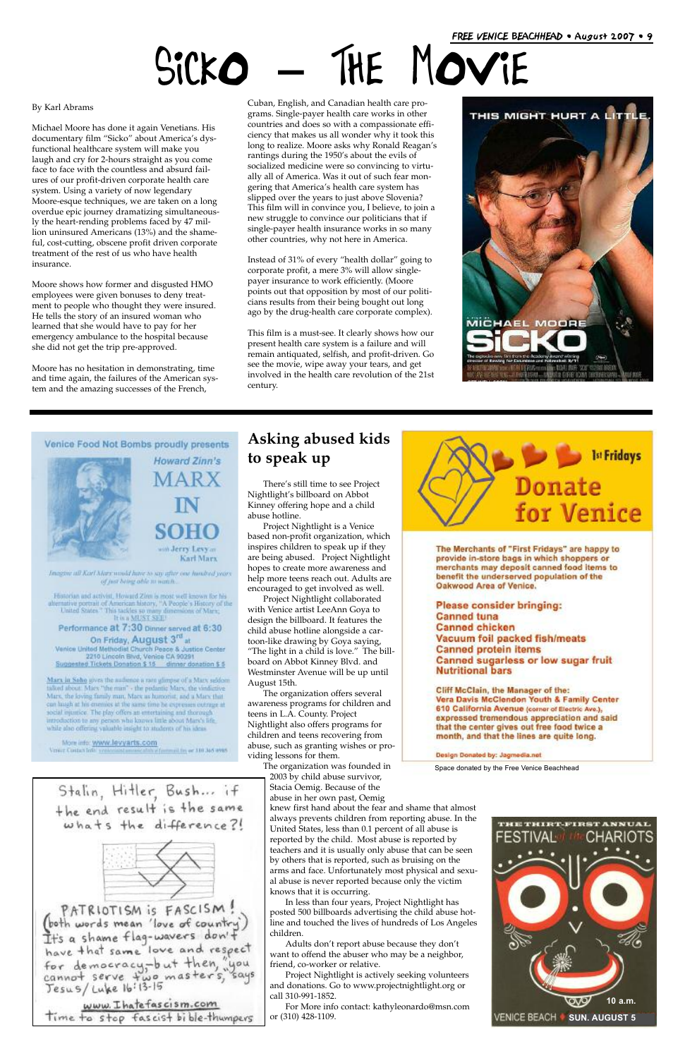### **Asking abused kids to speak up**

There's still time to see Project Nightlight's billboard on Abbot Kinney offering hope and a child abuse hotline.

Project Nightlight is a Venice based non-profit organization, which inspires children to speak up if they are being abused. Project Nightlight hopes to create more awareness and help more teens reach out. Adults are encouraged to get involved as well.

Project Nightlight collaborated with Venice artist LeeAnn Goya to design the billboard. It features the child abuse hotline alongside a cartoon-like drawing by Goya saying, "The light in a child is love." The billboard on Abbot Kinney Blvd. and Westminster Avenue will be up until August 15th.

The organization offers several awareness programs for children and teens in L.A. County. Project Nightlight also offers programs for children and teens recovering from abuse, such as granting wishes or providing lessons for them.

The organization was founded in 2003 by child abuse survivor,



The Merchants of "First Fridays" are happy to provide in-store bags in which shoppers or merchants may deposit canned food items to benefit the underserved population of the Oakwood Area of Venice.

**Please consider bringing: Canned tuna Canned chicken** Vacuum foil packed fish/meats **Canned protein items Canned sugarless or low sugar fruit Nutritional bars** 

Cliff McClain, the Manager of the: Vera Davis McClendon Youth & Family Center 610 California Avenue (corner of Electric Ave.), expressed tremendous appreciation and said that the center gives out free food twice a month, and that the lines are quite long.

Design Donated by: Jagmedia.net

Stacia Oemig. Because of the abuse in her own past, Oemig knew first hand about the fear and shame that almost always prevents children from reporting abuse. In the United States, less than 0.1 percent of all abuse is reported by the child. Most abuse is reported by teachers and it is usually only abuse that can be seen by others that is reported, such as bruising on the arms and face. Unfortunately most physical and sexual abuse is never reported because only the victim knows that it is occurring.

In less than four years, Project Nightlight has posted 500 billboards advertising the child abuse hotline and touched the lives of hundreds of Los Angeles children.

Adults don't report abuse because they don't want to offend the abuser who may be a neighbor, friend, co-worker or relative.

Project Nightlight is actively seeking volunteers and donations. Go to www.projectnightlight.org or call 310-991-1852.

For More info contact: kathyleonardo@msn.com or (310) 428-1109.

#### By Karl Abrams

Michael Moore has done it again Venetians. His documentary film "Sicko" about America's dysfunctional healthcare system will make you laugh and cry for 2-hours straight as you come face to face with the countless and absurd failures of our profit-driven corporate health care system. Using a variety of now legendary Moore-esque techniques, we are taken on a long overdue epic journey dramatizing simultaneously the heart-rending problems faced by 47 million uninsured Americans (13%) and the shameful, cost-cutting, obscene profit driven corporate treatment of the rest of us who have health insurance.

Moore shows how former and disgusted HMO employees were given bonuses to deny treatment to people who thought they were insured. He tells the story of an insured woman who learned that she would have to pay for her emergency ambulance to the hospital because she did not get the trip pre-approved.

Moore has no hesitation in demonstrating, time and time again, the failures of the American system and the amazing successes of the French,

Cuban, English, and Canadian health care programs. Single-payer health care works in other countries and does so with a compassionate efficiency that makes us all wonder why it took this long to realize. Moore asks why Ronald Reagan's rantings during the 1950's about the evils of socialized medicine were so convincing to virtually all of America. Was it out of such fear mongering that America's health care system has slipped over the years to just above Slovenia? This film will in convince you, I believe, to join a new struggle to convince our politicians that if single-payer health insurance works in so many other countries, why not here in America.

Instead of 31% of every "health dollar" going to corporate profit, a mere 3% will allow singlepayer insurance to work efficiently. (Moore points out that opposition by most of our politicians results from their being bought out long ago by the drug-health care corporate complex).

This film is a must-see. It clearly shows how our present health care system is a failure and will remain antiquated, selfish, and profit-driven. Go see the movie, wipe away your tears, and get involved in the health care revolution of the 21st century.





Howard Zinn's im Jerry Levy'm Karl Marx

Imaging all Karl Marx would have to say after one hundred years of just being oble to wan h

Historian and activist, Howard Zinn is most well known for his alternative portrait of American history, "A People's History of the United States." This tackles so many dumensions of Marx,  $\text{It is a MLST SEL}$ 

Performance at 7:30 Dinner served at 6:30 On Friday, August 3rd at Venice United Methodist Church Peace & Justice Center<br>2210 Lincoln Bivd, Venice CA 90291<br>Suggested Tickets Donation \$ 18 dinner donation \$ 5

Marx in Soho gives the audience a rare glimpse of a Marx soldom taked about Marx "the man" - the pedantic Marx, the vindictive Mars, the loving family man, Mars as humorist, and a Marx that can laugh at his enemies at the same time be expresses outrage at social mussice. The play offers an emertaining and thorough introduction to any person who knows little about Mars's life. while also offering valuable insight to students of his ideas.

More info: www.levyarts.com Virgic Contact Info: synthesist Commitcability Committ for or 310 365 4985

# Sicko **–** The Movie

Space donated by the Free Venice Beachhead

Stalin, Hitler, Bush... if the end result is the same whats the difference?!



(both words mean 'love of country')<br>It's a shame flag-wavers don't<br>have that same love and respect For democracy, but then, "you<br>cannot serve two masters," says<br>Jesus/ Luke 16:13-15

www. I hatefascism.com Time to stop fascist bible-thumpers